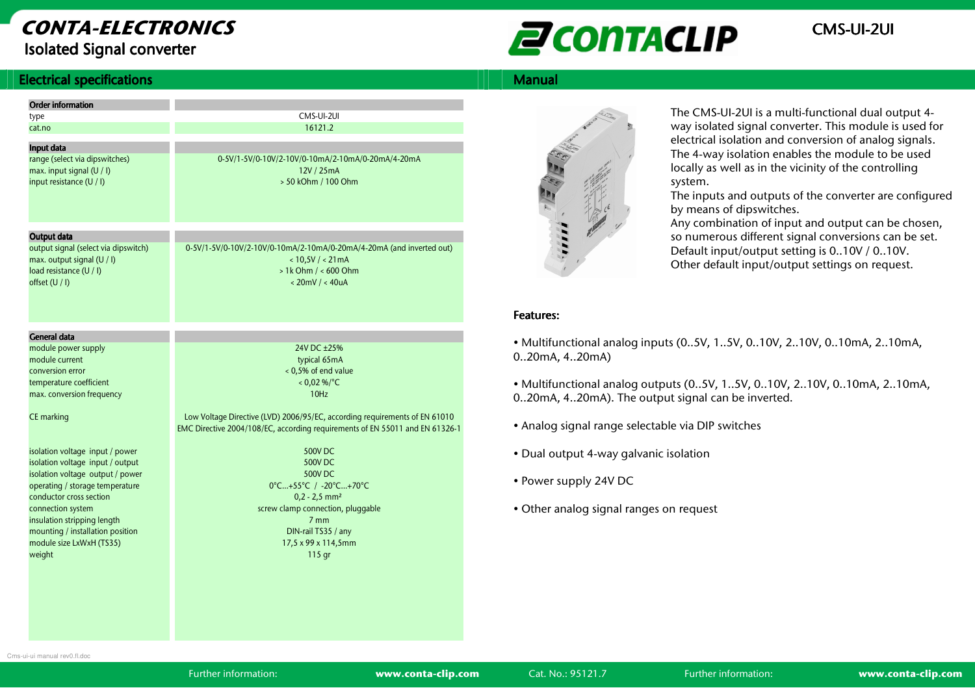## **CONTA-ELECTRONICS**Isolated Signal converter

# **EN CONTACLIP** CMS-UI-2UI

### **Electrical specifications** s and the state of the state of the state of the state  $\|\cdot\|$  | | | | Manual  $\|$

| <b>Order information</b>                                   |                                                                              |
|------------------------------------------------------------|------------------------------------------------------------------------------|
| type                                                       | CMS-UI-2UI                                                                   |
| cat.no                                                     | 16121.2                                                                      |
|                                                            |                                                                              |
| Input data                                                 |                                                                              |
| range (select via dipswitches)                             | 0-5V/1-5V/0-10V/2-10V/0-10mA/2-10mA/0-20mA/4-20mA                            |
| max. input signal (U / I)                                  | 12V / 25mA                                                                   |
| input resistance (U / I)                                   | > 50 kOhm / 100 Ohm                                                          |
|                                                            |                                                                              |
|                                                            |                                                                              |
|                                                            |                                                                              |
| Output data                                                |                                                                              |
| output signal (select via dipswitch)                       | 0-5V/1-5V/0-10V/2-10V/0-10mA/2-10mA/0-20mA/4-20mA (and inverted out)         |
| max. output signal (U / I)                                 | < 10,5V / < 21mA                                                             |
| load resistance (U / I)                                    | $> 1k$ Ohm $/ < 600$ Ohm                                                     |
| offset (U / I)                                             | $< 20$ mV / $< 40uA$                                                         |
|                                                            |                                                                              |
|                                                            |                                                                              |
|                                                            |                                                                              |
| <b>General data</b>                                        |                                                                              |
| module power supply                                        | 24V DC +25%                                                                  |
| module current                                             | typical 65mA                                                                 |
| conversion error                                           | < 0,5% of end value                                                          |
| temperature coefficient                                    | $< 0.0296$ /°C                                                               |
| max. conversion frequency                                  | 10H <sub>z</sub>                                                             |
|                                                            |                                                                              |
| CE marking                                                 | Low Voltage Directive (LVD) 2006/95/EC, according requirements of EN 61010   |
|                                                            | EMC Directive 2004/108/EC, according requirements of EN 55011 and EN 61326-1 |
|                                                            |                                                                              |
| isolation voltage input / power                            | 500V DC                                                                      |
| isolation voltage input / output                           | 500V DC                                                                      |
| isolation voltage output / power                           | 500V DC                                                                      |
| operating / storage temperature<br>conductor cross section | 0°C+55°C / -20°C+70°C                                                        |
| connection system                                          | $0, 2 - 2, 5$ mm <sup>2</sup><br>screw clamp connection, pluggable           |
| insulation stripping length                                | 7 <sub>mm</sub>                                                              |
| mounting / installation position                           | DIN-rail TS35 / any                                                          |
| module size LxWxH (TS35)                                   | 17,5 x 99 x 114,5mm                                                          |
| weight                                                     | 115 gr                                                                       |
|                                                            |                                                                              |
|                                                            |                                                                              |



The CMS-UI-2UI is a multi-functional dual output 4 way isolated signal converter. This module is used for electrical isolation and conversion of analog signals. The 4-way isolation enables the module to be used locally as well as in the vicinity of the controlling system.

 The inputs and outputs of the converter are configured by means of dipswitches.

 Any combination of input and output can be chosen, so numerous different signal conversions can be set. Default input/output setting is 0..10V / 0..10V. Other default input/output settings on request.

### Features: Features:

• Multifunctional analog inputs (0..5V, 1..5V, 0..10V, 2..10V, 0..10mA, 2..10mA, 0..20mA, 4..20mA)

• Multifunctional analog outputs (0..5V, 1..5V, 0..10V, 2..10V, 0..10mA, 2..10mA, 0..20mA, 4..20mA). The output signal can be inverted.

- Analog signal range selectable via DIP switches
- Dual output 4-way galvanic isolation
- Power supply 24V DC
- Other analog signal ranges on request